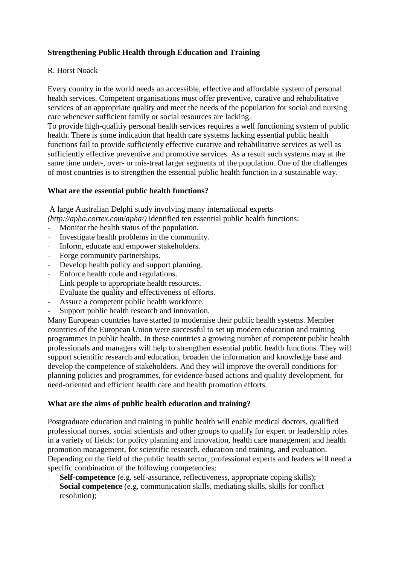## **Strengthening Public Health through Education and Training**

## R. Horst Noack

Every country in the world needs an accessible, effective and affordable system of personal health services. Competent organisations must offer preventive, curative and rehabilitative services of an appropriate quality and meet the needs of the population for social and nursing care whenever sufficient family or social resources are lacking.

To provide high-qualitiy personal health services requires a well functioning system of public health. There is some indication that health care systems lacking essential public health functions fail to provide sufficiently effective curative and rehabilitative services as well as sufficiently effective preventive and promotive services. As a result such systems may at the same time under-, over- or mis-treat larger segments of the population. One of the challenges of most countries is to strengthen the essential public health function in a sustainable way.

## **What are the essential public health functions?**

 A large Australian Delphi study involving many international experts *(http://apha.cortex.com/apha/)* identified ten essential public health functions:

- <sup>−</sup> Monitor the health status of the population.
- <sup>−</sup> Investigate health problems in the community.
- Inform, educate and empower stakeholders.
- Forge community partnerships.
- <sup>−</sup> Develop health policy and support planning.
- Enforce health code and regulations.
- <sup>−</sup> Link people to appropriate health resources.
- Evaluate the quality and effectiveness of efforts.
- <sup>−</sup> Assure a competent public health workforce.
- Support public health research and innovation.

Many European countries have started to modernise their public health systems. Member countries of the European Union were successful to set up modern education and training programmes in public health. In these countries a growing number of competent public health professionals and managers will help to strengthen essential public health functions. They will support scientific research and education, broaden the information and knowledge base and develop the competence of stakeholders. And they will improve the overall conditions for planning policies and programmes, for evidence-based actions and quality development, for need-oriented and efficient health care and health promotion efforts.

## **What are the aims of public health education and training?**

Postgraduate education and training in public health will enable medical doctors, qualified professional nurses, social scientists and other groups to qualify for expert or leadership roles in a variety of fields: for policy planning and innovation, health care management and health promotion management, for scientific research, education and training, and evaluation. Depending on the field of the public health sector, professional experts and leaders will need a specific combination of the following competencies:

- **Self-competence** (e.g. self-assurance, reflectiveness, appropriate coping skills);
- **Social competence** (e.g. communication skills, mediating skills, skills for conflict resolution);